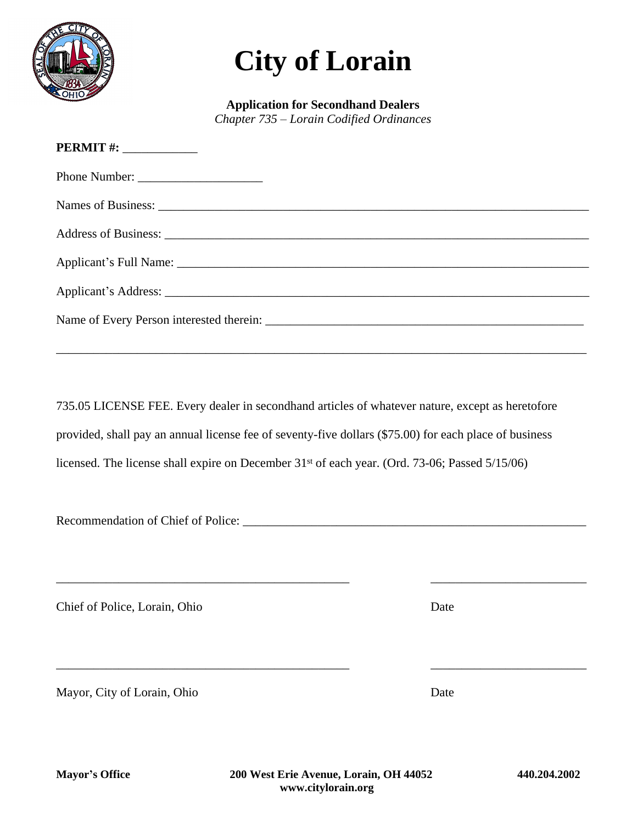

## **City of Lorain**

**Application for Secondhand Dealers** *Chapter 735 – Lorain Codified Ordinances*

| $PERMIT #: __________$ |
|------------------------|
|                        |
|                        |
|                        |
|                        |
|                        |
|                        |

\_\_\_\_\_\_\_\_\_\_\_\_\_\_\_\_\_\_\_\_\_\_\_\_\_\_\_\_\_\_\_\_\_\_\_\_\_\_\_\_\_\_\_\_\_\_\_\_\_\_\_\_\_\_\_\_\_\_\_\_\_\_\_\_\_\_\_\_\_\_\_\_\_\_\_\_\_\_\_\_\_\_\_\_\_

735.05 LICENSE FEE. Every dealer in secondhand articles of whatever nature, except as heretofore provided, shall pay an annual license fee of seventy-five dollars (\$75.00) for each place of business licensed. The license shall expire on December 31st of each year. (Ord. 73-06; Passed 5/15/06)

\_\_\_\_\_\_\_\_\_\_\_\_\_\_\_\_\_\_\_\_\_\_\_\_\_\_\_\_\_\_\_\_\_\_\_\_\_\_\_\_\_\_\_\_\_\_\_ \_\_\_\_\_\_\_\_\_\_\_\_\_\_\_\_\_\_\_\_\_\_\_\_\_

\_\_\_\_\_\_\_\_\_\_\_\_\_\_\_\_\_\_\_\_\_\_\_\_\_\_\_\_\_\_\_\_\_\_\_\_\_\_\_\_\_\_\_\_\_\_\_ \_\_\_\_\_\_\_\_\_\_\_\_\_\_\_\_\_\_\_\_\_\_\_\_\_

Recommendation of Chief of Police: \_\_\_\_\_\_\_\_\_\_\_\_\_\_\_\_\_\_\_\_\_\_\_\_\_\_\_\_\_\_\_\_\_\_\_\_\_\_\_\_\_\_\_\_\_\_\_\_\_\_\_\_\_\_\_

Chief of Police, Lorain, Ohio Date

Mayor, City of Lorain, Ohio Date

**Mayor's Office 200 West Erie Avenue, Lorain, OH 44052 440.204.2002 www.citylorain.org**